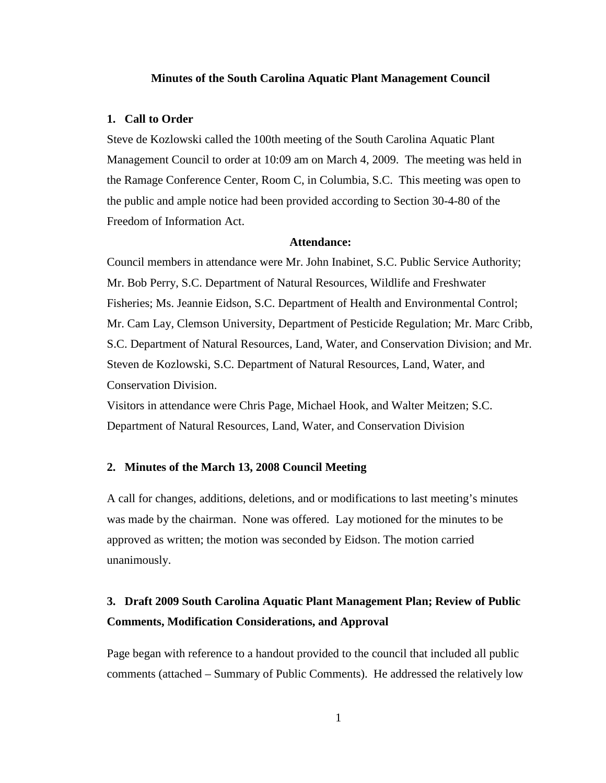#### **Minutes of the South Carolina Aquatic Plant Management Council**

## **1. Call to Order**

Steve de Kozlowski called the 100th meeting of the South Carolina Aquatic Plant Management Council to order at 10:09 am on March 4, 2009. The meeting was held in the Ramage Conference Center, Room C, in Columbia, S.C. This meeting was open to the public and ample notice had been provided according to Section 30-4-80 of the Freedom of Information Act.

## **Attendance:**

Council members in attendance were Mr. John Inabinet, S.C. Public Service Authority; Mr. Bob Perry, S.C. Department of Natural Resources, Wildlife and Freshwater Fisheries; Ms. Jeannie Eidson, S.C. Department of Health and Environmental Control; Mr. Cam Lay, Clemson University, Department of Pesticide Regulation; Mr. Marc Cribb, S.C. Department of Natural Resources, Land, Water, and Conservation Division; and Mr. Steven de Kozlowski, S.C. Department of Natural Resources, Land, Water, and Conservation Division.

Visitors in attendance were Chris Page, Michael Hook, and Walter Meitzen; S.C. Department of Natural Resources, Land, Water, and Conservation Division

# **2. Minutes of the March 13, 2008 Council Meeting**

A call for changes, additions, deletions, and or modifications to last meeting's minutes was made by the chairman. None was offered. Lay motioned for the minutes to be approved as written; the motion was seconded by Eidson. The motion carried unanimously.

# **3. Draft 2009 South Carolina Aquatic Plant Management Plan; Review of Public Comments, Modification Considerations, and Approval**

Page began with reference to a handout provided to the council that included all public comments (attached – Summary of Public Comments). He addressed the relatively low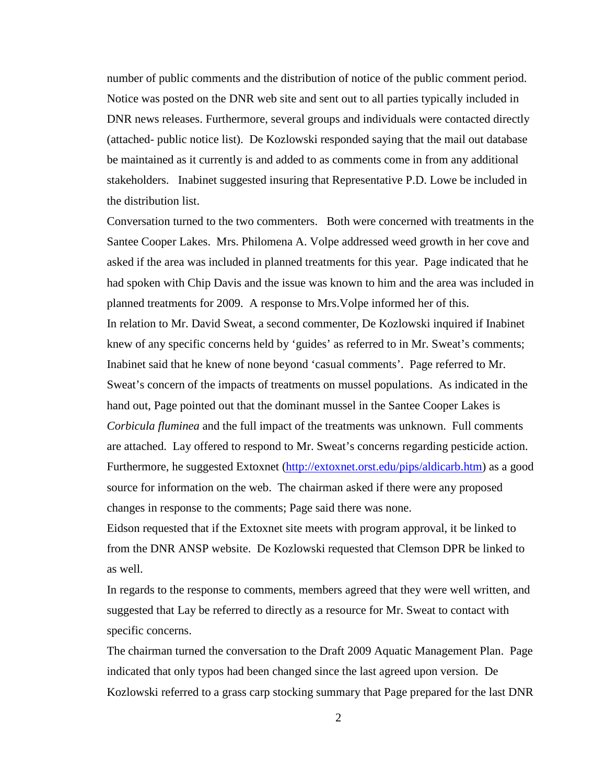number of public comments and the distribution of notice of the public comment period. Notice was posted on the DNR web site and sent out to all parties typically included in DNR news releases. Furthermore, several groups and individuals were contacted directly (attached- public notice list). De Kozlowski responded saying that the mail out database be maintained as it currently is and added to as comments come in from any additional stakeholders. Inabinet suggested insuring that Representative P.D. Lowe be included in the distribution list.

Conversation turned to the two commenters. Both were concerned with treatments in the Santee Cooper Lakes. Mrs. Philomena A. Volpe addressed weed growth in her cove and asked if the area was included in planned treatments for this year. Page indicated that he had spoken with Chip Davis and the issue was known to him and the area was included in planned treatments for 2009. A response to Mrs.Volpe informed her of this. In relation to Mr. David Sweat, a second commenter, De Kozlowski inquired if Inabinet knew of any specific concerns held by 'guides' as referred to in Mr. Sweat's comments; Inabinet said that he knew of none beyond 'casual comments'. Page referred to Mr. Sweat's concern of the impacts of treatments on mussel populations. As indicated in the hand out, Page pointed out that the dominant mussel in the Santee Cooper Lakes is *Corbicula fluminea* and the full impact of the treatments was unknown. Full comments are attached. Lay offered to respond to Mr. Sweat's concerns regarding pesticide action. Furthermore, he suggested Extoxnet [\(http://extoxnet.orst.edu/pips/aldicarb.htm\)](http://extoxnet.orst.edu/pips/aldicarb.htm) as a good source for information on the web. The chairman asked if there were any proposed changes in response to the comments; Page said there was none.

Eidson requested that if the Extoxnet site meets with program approval, it be linked to from the DNR ANSP website. De Kozlowski requested that Clemson DPR be linked to as well.

In regards to the response to comments, members agreed that they were well written, and suggested that Lay be referred to directly as a resource for Mr. Sweat to contact with specific concerns.

The chairman turned the conversation to the Draft 2009 Aquatic Management Plan. Page indicated that only typos had been changed since the last agreed upon version. De Kozlowski referred to a grass carp stocking summary that Page prepared for the last DNR

2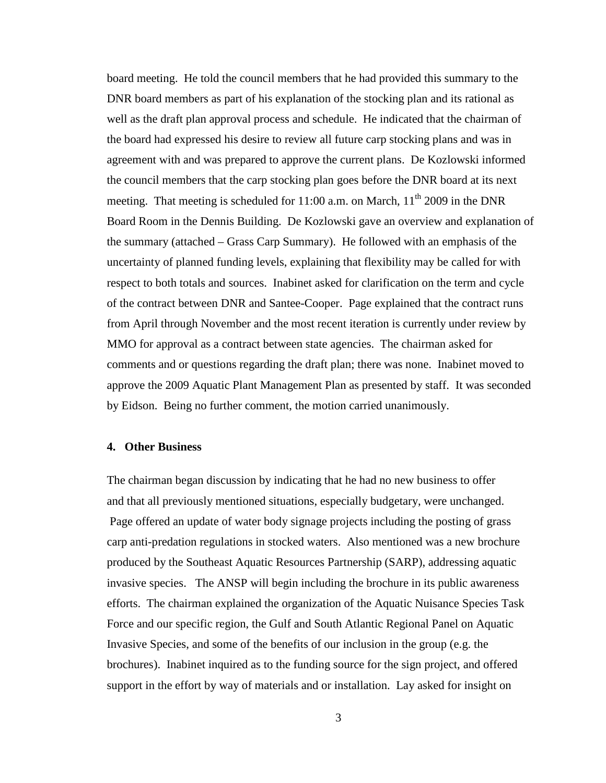board meeting. He told the council members that he had provided this summary to the DNR board members as part of his explanation of the stocking plan and its rational as well as the draft plan approval process and schedule. He indicated that the chairman of the board had expressed his desire to review all future carp stocking plans and was in agreement with and was prepared to approve the current plans. De Kozlowski informed the council members that the carp stocking plan goes before the DNR board at its next meeting. That meeting is scheduled for 11:00 a.m. on March,  $11<sup>th</sup>$  2009 in the DNR Board Room in the Dennis Building. De Kozlowski gave an overview and explanation of the summary (attached – Grass Carp Summary). He followed with an emphasis of the uncertainty of planned funding levels, explaining that flexibility may be called for with respect to both totals and sources. Inabinet asked for clarification on the term and cycle of the contract between DNR and Santee-Cooper. Page explained that the contract runs from April through November and the most recent iteration is currently under review by MMO for approval as a contract between state agencies. The chairman asked for comments and or questions regarding the draft plan; there was none. Inabinet moved to approve the 2009 Aquatic Plant Management Plan as presented by staff. It was seconded by Eidson. Being no further comment, the motion carried unanimously.

# **4. Other Business**

The chairman began discussion by indicating that he had no new business to offer and that all previously mentioned situations, especially budgetary, were unchanged. Page offered an update of water body signage projects including the posting of grass carp anti-predation regulations in stocked waters. Also mentioned was a new brochure produced by the Southeast Aquatic Resources Partnership (SARP), addressing aquatic invasive species. The ANSP will begin including the brochure in its public awareness efforts. The chairman explained the organization of the Aquatic Nuisance Species Task Force and our specific region, the Gulf and South Atlantic Regional Panel on Aquatic Invasive Species, and some of the benefits of our inclusion in the group (e.g. the brochures). Inabinet inquired as to the funding source for the sign project, and offered support in the effort by way of materials and or installation. Lay asked for insight on